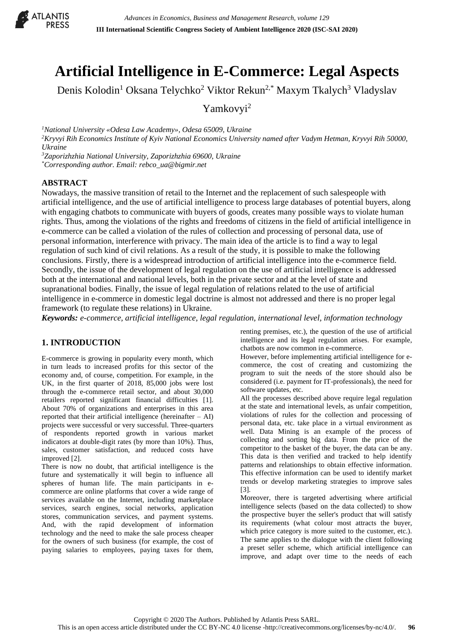

# **Artificial Intelligence in E-Commerce: Legal Aspects**

Denis Kolodin<sup>1</sup> Oksana Telychko<sup>2</sup> Viktor Rekun<sup>2,\*</sup> Maxym Tkalych<sup>3</sup> Vladyslav

Yamkovyi<sup>2</sup>

*<sup>1</sup>National University «Odesa Law Academy», Odesa 65009, Ukraine <sup>2</sup>Kryvyi Rih Economics Institute of Kyiv National Economics University named after Vadym Hetman, Kryvyi Rih 50000, Ukraine*

*<sup>3</sup>Zaporizhzhia National University, Zaporizhzhia 69600, Ukraine \*Corresponding author. Email: rebco\_ua@bigmir.net*

## **ABSTRACT**

Nowadays, the massive transition of retail to the Internet and the replacement of such salespeople with artificial intelligence, and the use of artificial intelligence to process large databases of potential buyers, along with engaging chatbots to communicate with buyers of goods, creates many possible ways to violate human rights. Thus, among the violations of the rights and freedoms of citizens in the field of artificial intelligence in e-commerce can be called a violation of the rules of collection and processing of personal data, use of personal information, interference with privacy. The main idea of the article is to find a way to legal regulation of such kind of civil relations. As a result of the study, it is possible to make the following conclusions. Firstly, there is a widespread introduction of artificial intelligence into the e-commerce field. Secondly, the issue of the development of legal regulation on the use of artificial intelligence is addressed both at the international and national levels, both in the private sector and at the level of state and supranational bodies. Finally, the issue of legal regulation of relations related to the use of artificial intelligence in e-commerce in domestic legal doctrine is almost not addressed and there is no proper legal framework (to regulate these relations) in Ukraine.

*Keywords: e-commerce, artificial intelligence, legal regulation, international level, information technology* 

# **1. INTRODUCTION**

E-commerce is growing in popularity every month, which in turn leads to increased profits for this sector of the economy and, of course, competition. For example, in the UK, in the first quarter of 2018, 85,000 jobs were lost through the e-commerce retail sector, and about 30,000 retailers reported significant financial difficulties [1]. About 70% of organizations and enterprises in this area reported that their artificial intelligence (hereinafter  $-$  AI) projects were successful or very successful. Three-quarters of respondents reported growth in various market indicators at double-digit rates (by more than 10%). Thus, sales, customer satisfaction, and reduced costs have improved [2].

There is now no doubt, that artificial intelligence is the future and systematically it will begin to influence all spheres of human life. The main participants in ecommerce are online platforms that cover a wide range of services available on the Internet, including marketplace services, search engines, social networks, application stores, communication services, and payment systems. And, with the rapid development of information technology and the need to make the sale process cheaper for the owners of such business (for example, the cost of paying salaries to employees, paying taxes for them,

renting premises, etc.), the question of the use of artificial intelligence and its legal regulation arises. For example, chatbots are now common in e-commerce.

However, before implementing artificial intelligence for ecommerce, the cost of creating and customizing the program to suit the needs of the store should also be considered (i.e. payment for IT-professionals), the need for software updates, etc.

All the processes described above require legal regulation at the state and international levels, as unfair competition, violations of rules for the collection and processing of personal data, etc. take place in a virtual environment as well. Data Mining is an example of the process of collecting and sorting big data. From the price of the competitor to the basket of the buyer, the data can be any. This data is then verified and tracked to help identify patterns and relationships to obtain effective information. This effective information can be used to identify market trends or develop marketing strategies to improve sales [3].

Moreover, there is targeted advertising where artificial intelligence selects (based on the data collected) to show the prospective buyer the seller's product that will satisfy its requirements (what colour most attracts the buyer, which price category is more suited to the customer, etc.). The same applies to the dialogue with the client following a preset seller scheme, which artificial intelligence can improve, and adapt over time to the needs of each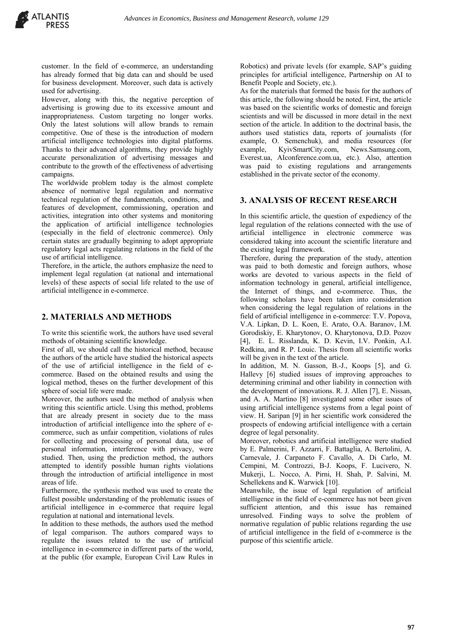customer. In the field of e-commerce, an understanding has already formed that big data can and should be used for business development. Moreover, such data is actively used for advertising.

However, along with this, the negative perception of advertising is growing due to its excessive amount and inappropriateness. Custom targeting no longer works. Only the latest solutions will allow brands to remain competitive. One of these is the introduction of modern artificial intelligence technologies into digital platforms. Thanks to their advanced algorithms, they provide highly accurate personalization of advertising messages and contribute to the growth of the effectiveness of advertising campaigns.

The worldwide problem today is the almost complete absence of normative legal regulation and normative technical regulation of the fundamentals, conditions, and features of development, commissioning, operation and activities, integration into other systems and monitoring the application of artificial intelligence technologies (especially in the field of electronic commerce). Only certain states are gradually beginning to adopt appropriate regulatory legal acts regulating relations in the field of the use of artificial intelligence.

Therefore, in the article, the authors emphasize the need to implement legal regulation (at national and international levels) of these aspects of social life related to the use of artificial intelligence in e-commerce.

#### **2. MATERIALS AND METHODS**

To write this scientific work, the authors have used several methods of obtaining scientific knowledge.

First of all, we should call the historical method, because the authors of the article have studied the historical aspects of the use of artificial intelligence in the field of ecommerce. Based on the obtained results and using the logical method, theses on the further development of this sphere of social life were made.

Moreover, the authors used the method of analysis when writing this scientific article. Using this method, problems that are already present in society due to the mass introduction of artificial intelligence into the sphere of ecommerce, such as unfair competition, violations of rules for collecting and processing of personal data, use of personal information, interference with privacy, were studied. Then, using the prediction method, the authors attempted to identify possible human rights violations through the introduction of artificial intelligence in most areas of life.

Furthermore, the synthesis method was used to create the fullest possible understanding of the problematic issues of artificial intelligence in e-commerce that require legal regulation at national and international levels.

In addition to these methods, the authors used the method of legal comparison. The authors compared ways to regulate the issues related to the use of artificial intelligence in e-commerce in different parts of the world, at the public (for example, European Civil Law Rules in Robotics) and private levels (for example, SAP's guiding principles for artificial intelligence, Partnership on AI to Benefit People and Society, etc.).

As for the materials that formed the basis for the authors of this article, the following should be noted. First, the article was based on the scientific works of domestic and foreign scientists and will be discussed in more detail in the next section of the article. In addition to the doctrinal basis, the authors used statistics data, reports of journalists (for example, O. Semenchuk), and media resources (for example, KyivSmartCity.com, News.Samsung.com, Everest.ua, AIconference.com.ua, etc.). Also, attention was paid to existing regulations and arrangements established in the private sector of the economy.

#### **3. ANALYSIS OF RECENT RESEARCH**

In this scientific article, the question of expediency of the legal regulation of the relations connected with the use of artificial intelligence in electronic commerce was considered taking into account the scientific literature and the existing legal framework.

Therefore, during the preparation of the study, attention was paid to both domestic and foreign authors, whose works are devoted to various aspects in the field of information technology in general, artificial intelligence, the Internet of things, and e-commerce. Thus, the following scholars have been taken into consideration when considering the legal regulation of relations in the field of artificial intelligence in e-commerce: T.V. Popova, V.A. Lipkan, D. L. Koen, E. Arato, O.A. Baranov, I.M. Gorodiskiy, E. Kharytonov, O. Kharytonova, D.D. Pozov [4], E. L. Risslanda, K. D. Kevin, I.V. Ponkin, A.I. Redkina, and R. P. Louic. Thesis from all scientific works will be given in the text of the article.

In addition, M. N. Gasson, B.-J., Koops [5], and G. Hallevy [6] studied issues of improving approaches to determining criminal and other liability in connection with the development of innovations. R. J. Allen [7], E. Nissan, and A. A. Martino [8] investigated some other issues of using artificial intelligence systems from a legal point of view. H. Saripan [9] in her scientific work considered the prospects of endowing artificial intelligence with a certain degree of legal personality.

Moreover, robotics and artificial intelligence were studied by E. Palmerini, F. Azzarri, F. Battaglia, A. Bertolini, A. Carnevale, J. Carpaneto F. Cavallo, A. Di Carlo, M. Cempini, M. Controzzi, B-J. Koops, F. Lucivero, N. Mukerji, L. Nocco, A. Pirni, H. Shah, P. Salvini, M. Schellekens and K. Warwick [10].

Meanwhile, the issue of legal regulation of artificial intelligence in the field of e-commerce has not been given sufficient attention, and this issue has remained unresolved. Finding ways to solve the problem of normative regulation of public relations regarding the use of artificial intelligence in the field of e-commerce is the purpose of this scientific article.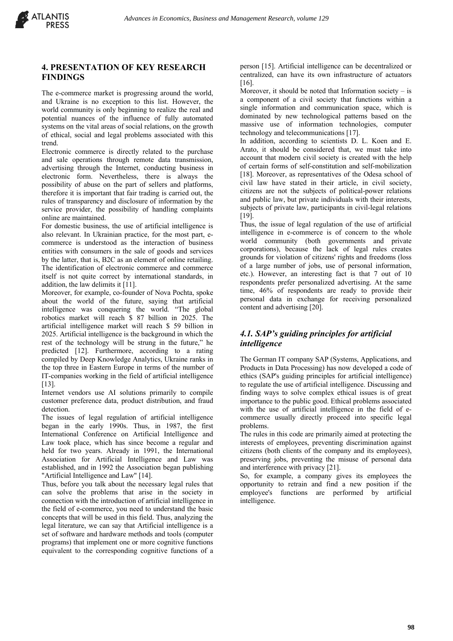# **4. PRESENTATION OF KEY RESEARCH FINDINGS**

The e-commerce market is progressing around the world, and Ukraine is no exception to this list. However, the world community is only beginning to realize the real and potential nuances of the influence of fully automated systems on the vital areas of social relations, on the growth of ethical, social and legal problems associated with this trend.

Electronic commerce is directly related to the purchase and sale operations through remote data transmission, advertising through the Internet, conducting business in electronic form. Nevertheless, there is always the possibility of abuse on the part of sellers and platforms, therefore it is important that fair trading is carried out, the rules of transparency and disclosure of information by the service provider, the possibility of handling complaints online are maintained.

For domestic business, the use of artificial intelligence is also relevant. In Ukrainian practice, for the most part, ecommerce is understood as the interaction of business entities with consumers in the sale of goods and services by the latter, that is, B2C as an element of online retailing. The identification of electronic commerce and commerce itself is not quite correct by international standards, in addition, the law delimits it [11].

Moreover, for example, co-founder of Nova Pochta, spoke about the world of the future, saying that artificial intelligence was conquering the world. "The global robotics market will reach \$ 87 billion in 2025. The artificial intelligence market will reach \$ 59 billion in 2025. Artificial intelligence is the background in which the rest of the technology will be strung in the future," he predicted [12]. Furthermore, according to a rating compiled by Deep Knowledge Analytics, Ukraine ranks in the top three in Eastern Europe in terms of the number of IT-companies working in the field of artificial intelligence [13].

Internet vendors use AI solutions primarily to compile customer preference data, product distribution, and fraud detection.

The issues of legal regulation of artificial intelligence began in the early 1990s. Thus, in 1987, the first International Conference on Artificial Intelligence and Law took place, which has since become a regular and held for two years. Already in 1991, the International Association for Artificial Intelligence and Law was established, and in 1992 the Association began publishing "Artificial Intelligence and Law" [14].

Thus, before you talk about the necessary legal rules that can solve the problems that arise in the society in connection with the introduction of artificial intelligence in the field of e-commerce, you need to understand the basic concepts that will be used in this field. Thus, analyzing the legal literature, we can say that Artificial intelligence is a set of software and hardware methods and tools (computer programs) that implement one or more cognitive functions equivalent to the corresponding cognitive functions of a

person [15]. Artificial intelligence can be decentralized or centralized, can have its own infrastructure of actuators [16].

Moreover, it should be noted that Information society  $-$  is a component of a civil society that functions within a single information and communication space, which is dominated by new technological patterns based on the massive use of information technologies, computer technology and telecommunications [17].

In addition, according to scientists D. L. Koen and E. Arato, it should be considered that, we must take into account that modern civil society is created with the help of certain forms of self-constitution and self-mobilization [18]. Moreover, as representatives of the Odesa school of civil law have stated in their article, in civil society, citizens are not the subjects of political-power relations and public law, but private individuals with their interests, subjects of private law, participants in civil-legal relations [19].

Thus, the issue of legal regulation of the use of artificial intelligence in e-commerce is of concern to the whole world community (both governments and private corporations), because the lack of legal rules creates grounds for violation of citizens' rights and freedoms (loss of a large number of jobs, use of personal information, etc.). However, an interesting fact is that 7 out of 10 respondents prefer personalized advertising. At the same time, 46% of respondents are ready to provide their personal data in exchange for receiving personalized content and advertising [20].

# *4.1. SAP's guiding principles for artificial intelligence*

The German IT company SAP (Systems, Applications, and Products in Data Processing) has now developed a code of ethics (SAP's guiding principles for artificial intelligence) to regulate the use of artificial intelligence. Discussing and finding ways to solve complex ethical issues is of great importance to the public good. Ethical problems associated with the use of artificial intelligence in the field of ecommerce usually directly proceed into specific legal problems.

The rules in this code are primarily aimed at protecting the interests of employees, preventing discrimination against citizens (both clients of the company and its employees), preserving jobs, preventing the misuse of personal data and interference with privacy [21].

So, for example, a company gives its employees the opportunity to retrain and find a new position if the employee's functions are performed by artificial intelligence.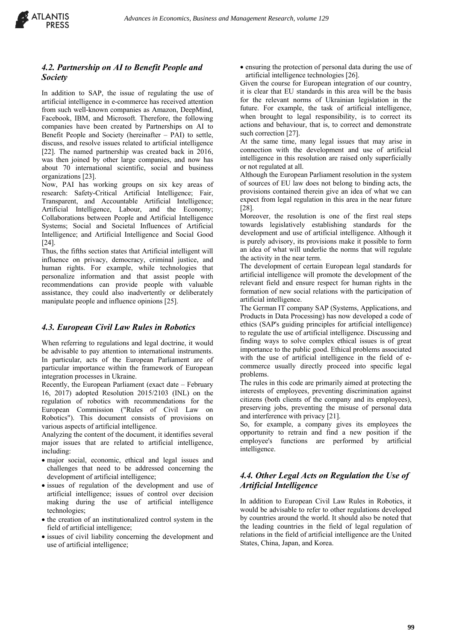

# *4.2. Partnership on AI to Benefit People and Society*

In addition to SAP, the issue of regulating the use of artificial intelligence in e-commerce has received attention from such well-known companies as Amazon, DeepMind, Facebook, IBM, and Microsoft. Therefore, the following companies have been created by Partnerships on AI to Benefit People and Society (hereinafter – PAI) to settle, discuss, and resolve issues related to artificial intelligence [22]. The named partnership was created back in 2016, was then joined by other large companies, and now has about 70 international scientific, social and business organizations [23].

Now, PAI has working groups on six key areas of research: Safety-Critical Artificial Intelligence; Fair, Transparent, and Accountable Artificial Intelligence; Artificial Intelligence, Labour, and the Economy; Collaborations between People and Artificial Intelligence Systems; Social and Societal Influences of Artificial Intelligence; and Artificial Intelligence and Social Good [24].

Thus, the fifths section states that Artificial intelligent will influence on privacy, democracy, criminal justice, and human rights. For example, while technologies that personalize information and that assist people with recommendations can provide people with valuable assistance, they could also inadvertently or deliberately manipulate people and influence opinions [25].

## *4.3. European Civil Law Rules in Robotics*

When referring to regulations and legal doctrine, it would be advisable to pay attention to international instruments. In particular, acts of the European Parliament are of particular importance within the framework of European integration processes in Ukraine.

Recently, the European Parliament (exact date – February 16, 2017) adopted Resolution 2015/2103 (INL) on the regulation of robotics with recommendations for the European Commission ("Rules of Civil Law on Robotics"). This document consists of provisions on various aspects of artificial intelligence.

Analyzing the content of the document, it identifies several major issues that are related to artificial intelligence, including:

- major social, economic, ethical and legal issues and challenges that need to be addressed concerning the development of artificial intelligence;
- issues of regulation of the development and use of artificial intelligence; issues of control over decision making during the use of artificial intelligence technologies;
- the creation of an institutionalized control system in the field of artificial intelligence;
- issues of civil liability concerning the development and use of artificial intelligence;

• ensuring the protection of personal data during the use of artificial intelligence technologies [26].

Given the course for European integration of our country, it is clear that EU standards in this area will be the basis for the relevant norms of Ukrainian legislation in the future. For example, the task of artificial intelligence, when brought to legal responsibility, is to correct its actions and behaviour, that is, to correct and demonstrate such correction [27].

At the same time, many legal issues that may arise in connection with the development and use of artificial intelligence in this resolution are raised only superficially or not regulated at all.

Although the European Parliament resolution in the system of sources of EU law does not belong to binding acts, the provisions contained therein give an idea of what we can expect from legal regulation in this area in the near future [28].

Moreover, the resolution is one of the first real steps towards legislatively establishing standards for the development and use of artificial intelligence. Although it is purely advisory, its provisions make it possible to form an idea of what will underlie the norms that will regulate the activity in the near term.

The development of certain European legal standards for artificial intelligence will promote the development of the relevant field and ensure respect for human rights in the formation of new social relations with the participation of artificial intelligence.

The German IT company SAP (Systems, Applications, and Products in Data Processing) has now developed a code of ethics (SAP's guiding principles for artificial intelligence) to regulate the use of artificial intelligence. Discussing and finding ways to solve complex ethical issues is of great importance to the public good. Ethical problems associated with the use of artificial intelligence in the field of ecommerce usually directly proceed into specific legal problems.

The rules in this code are primarily aimed at protecting the interests of employees, preventing discrimination against citizens (both clients of the company and its employees), preserving jobs, preventing the misuse of personal data and interference with privacy [21].

So, for example, a company gives its employees the opportunity to retrain and find a new position if the employee's functions are performed by artificial intelligence.

# *4.4. Other Legal Acts on Regulation the Use of Artificial Intelligence*

In addition to European Civil Law Rules in Robotics, it would be advisable to refer to other regulations developed by countries around the world. It should also be noted that the leading countries in the field of legal regulation of relations in the field of artificial intelligence are the United States, China, Japan, and Korea.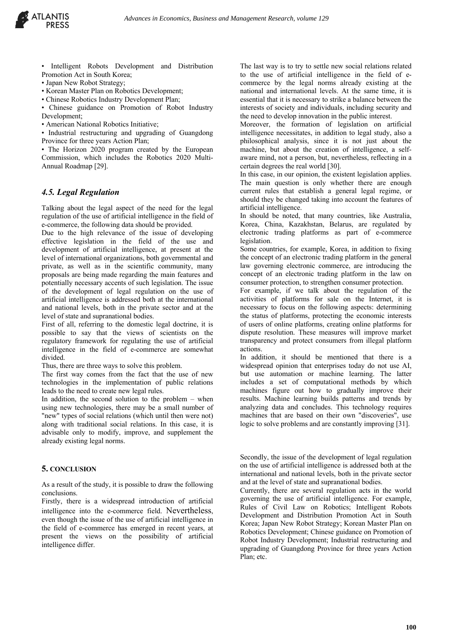

- Intelligent Robots Development and Distribution Promotion Act in South Korea;
- Japan New Robot Strategy;
- Korean Master Plan on Robotics Development;
- Chinese Robotics Industry Development Plan;

• Chinese guidance on Promotion of Robot Industry Development;

• American National Robotics Initiative;

• Industrial restructuring and upgrading of Guangdong Province for three years Action Plan;

• The Horizon 2020 program created by the European Commission, which includes the Robotics 2020 Multi-Annual Roadmap [29].

#### *4.5. Legal Regulation*

Talking about the legal aspect of the need for the legal regulation of the use of artificial intelligence in the field of e-commerce, the following data should be provided.

Due to the high relevance of the issue of developing effective legislation in the field of the use and development of artificial intelligence, at present at the level of international organizations, both governmental and private, as well as in the scientific community, many proposals are being made regarding the main features and potentially necessary accents of such legislation. The issue of the development of legal regulation on the use of artificial intelligence is addressed both at the international and national levels, both in the private sector and at the level of state and supranational bodies.

First of all, referring to the domestic legal doctrine, it is possible to say that the views of scientists on the regulatory framework for regulating the use of artificial intelligence in the field of e-commerce are somewhat divided.

Thus, there are three ways to solve this problem.

The first way comes from the fact that the use of new technologies in the implementation of public relations leads to the need to create new legal rules.

In addition, the second solution to the problem  $-$  when using new technologies, there may be a small number of "new" types of social relations (which until then were not) along with traditional social relations. In this case, it is advisable only to modify, improve, and supplement the already existing legal norms.

#### **5. CONCLUSION**

As a result of the study, it is possible to draw the following conclusions.

Firstly, there is a widespread introduction of artificial intelligence into the e-commerce field. Nevertheless, even though the issue of the use of artificial intelligence in the field of e-commerce has emerged in recent years, at present the views on the possibility of artificial intelligence differ.

The last way is to try to settle new social relations related to the use of artificial intelligence in the field of ecommerce by the legal norms already existing at the national and international levels. At the same time, it is essential that it is necessary to strike a balance between the interests of society and individuals, including security and the need to develop innovation in the public interest.

Moreover, the formation of legislation on artificial intelligence necessitates, in addition to legal study, also a philosophical analysis, since it is not just about the machine, but about the creation of intelligence, a selfaware mind, not a person, but, nevertheless, reflecting in a certain degrees the real world [30].

In this case, in our opinion, the existent legislation applies. The main question is only whether there are enough current rules that establish a general legal regime, or should they be changed taking into account the features of artificial intelligence.

In should be noted, that many countries, like Australia, Korea, China, Kazakhstan, Belarus, are regulated by electronic trading platforms as part of e-commerce legislation.

Some countries, for example, Korea, in addition to fixing the concept of an electronic trading platform in the general law governing electronic commerce, are introducing the concept of an electronic trading platform in the law on consumer protection, to strengthen consumer protection.

For example, if we talk about the regulation of the activities of platforms for sale on the Internet, it is necessary to focus on the following aspects: determining the status of platforms, protecting the economic interests of users of online platforms, creating online platforms for dispute resolution. These measures will improve market transparency and protect consumers from illegal platform actions.

In addition, it should be mentioned that there is a widespread opinion that enterprises today do not use AI, but use automation or machine learning. The latter includes a set of computational methods by which machines figure out how to gradually improve their results. Machine learning builds patterns and trends by analyzing data and concludes. This technology requires machines that are based on their own "discoveries", use logic to solve problems and are constantly improving [31].

Secondly, the issue of the development of legal regulation on the use of artificial intelligence is addressed both at the international and national levels, both in the private sector and at the level of state and supranational bodies.

Currently, there are several regulation acts in the world governing the use of artificial intelligence. For example, Rules of Civil Law on Robotics; Intelligent Robots Development and Distribution Promotion Act in South Korea; Japan New Robot Strategy; Korean Master Plan on Robotics Development; Chinese guidance on Promotion of Robot Industry Development; Industrial restructuring and upgrading of Guangdong Province for three years Action Plan; etc.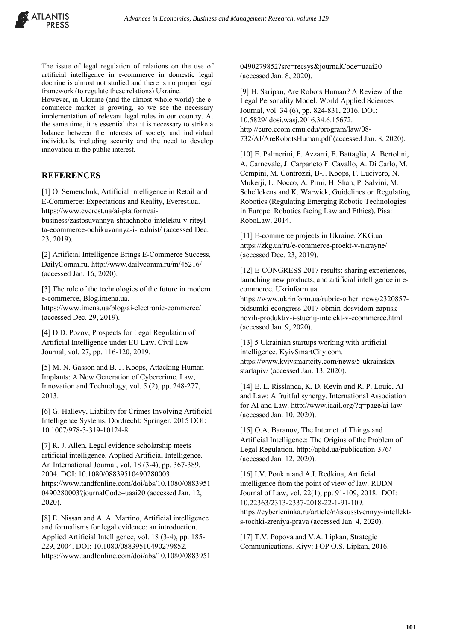

The issue of legal regulation of relations on the use of artificial intelligence in e-commerce in domestic legal doctrine is almost not studied and there is no proper legal framework (to regulate these relations) Ukraine.

However, in Ukraine (and the almost whole world) the ecommerce market is growing, so we see the necessary implementation of relevant legal rules in our country. At the same time, it is essential that it is necessary to strike a balance between the interests of society and individual individuals, including security and the need to develop innovation in the public interest.

## **REFERENCES**

[1] O. Semenchuk, Artificial Intelligence in Retail and E-Commerce: Expectations and Reality, Everest.ua. https://www.everest.ua/ai-platform/ai-

business/zastosuvannya-shtuchnoho-intelektu-v-riteylta-ecommerce-ochikuvannya-i-realnist/ (accessed Dec. 23, 2019).

[2] Artificial Intelligence Brings E-Commerce Success, DailyComm.ru. http://www.dailycomm.ru/m/45216/ (accessed Jan. 16, 2020).

[3] The role of the technologies of the future in modern e-commerce, Blog.imena.ua.

https://www.imena.ua/blog/ai-electronic-commerce/ (accessed Dec. 29, 2019).

[4] D.D. Pozov, Prospects for Legal Regulation of Artificial Intelligence under EU Law. Civil Law Journal, vol. 27, pp. 116-120, 2019.

[5] M. N. Gasson and B.-J. Koops, Attacking Human Implants: A New Generation of Cybercrime. Law, Innovation and Technology, vol. 5 (2), pp. 248-277, 2013.

[6] G. Hallevy, Liability for Crimes Involving Artificial Intelligence Systems. Dordrecht: Springer, 2015 DOI: 10.1007/978-3-319-10124-8.

[7] R. J. Allen, Legal evidence scholarship meets artificial intelligence. Applied Artificial Intelligence. An International Journal, vol. 18 (3-4), pp. 367-389, 2004. DOI: 10.1080/08839510490280003. https://www.tandfonline.com/doi/abs/10.1080/0883951 0490280003?journalCode=uaai20 (accessed Jan. 12, 2020).

[8] E. Nissan and A. A. Martino, Artificial intelligence and formalisms for legal evidence: an introduction. Applied Artificial Intelligence, vol. 18 (3-4), pp. 185- 229, 2004. DOI: 10.1080/08839510490279852. https://www.tandfonline.com/doi/abs/10.1080/0883951 0490279852?src=recsys&journalCode=uaai20 (accessed Jan. 8, 2020).

[9] H. Saripan, Are Robots Human? A Review of the Legal Personality Model. World Applied Sciences Journal, vol. 34 (6), pp. 824-831, 2016. DOI: 10.5829/idosi.wasj.2016.34.6.15672. http://euro.ecom.cmu.edu/program/law/08- 732/AI/AreRobotsHuman.pdf (accessed Jan. 8, 2020).

[10] E. Palmerini, F. Azzarri, F. Battaglia, A. Bertolini, A. Carnevale, J. Carpaneto F. Cavallo, A. Di Carlo, M. Cempini, M. Controzzi, B-J. Koops, F. Lucivero, N. Mukerji, L. Nocco, A. Pirni, H. Shah, P. Salvini, M. Schellekens and K. Warwick, Guidelines on Regulating Robotics (Regulating Emerging Robotic Technologies in Europe: Robotics facing Law and Ethics). Pisa: RoboLaw, 2014.

[11] E-commerce projects in Ukraine. ZKG.ua https://zkg.ua/ru/e-commerce-proekt-v-ukrayne/ (accessed Dec. 23, 2019).

[12] E-CONGRESS 2017 results: sharing experiences, launching new products, and artificial intelligence in ecommerce. Ukrinform.ua.

https://www.ukrinform.ua/rubric-other\_news/2320857 pidsumki-econgress-2017-obmin-dosvidom-zapusknovih-produktiv-i-stucnij-intelekt-v-ecommerce.html (accessed Jan. 9, 2020).

[13] 5 Ukrainian startups working with artificial intelligence. KyivSmartCity.com. https://www.kyivsmartcity.com/news/5-ukrainskixstartapiv/ (accessed Jan. 13, 2020).

[14] E. L. Risslanda, K. D. Kevin and R. P. Louic, AI and Law: A fruitful synergy. International Association for AI and Law. http://www.iaail.org/?q=page/ai-law (accessed Jan. 10, 2020).

[15] O.A. Baranov, The Internet of Things and Artificial Intelligence: The Origins of the Problem of Legal Regulation. http://aphd.ua/publication-376/ (accessed Jan. 12, 2020).

[16] I.V. Ponkin and A.I. Redkina, Artificial intelligence from the point of view of law. RUDN Journal of Law, vol. 22(1), pp. 91-109, 2018. DOI: 10.22363/2313-2337-2018-22-1-91-109. https://cyberleninka.ru/article/n/iskusstvennyy-intellekts-tochki-zreniya-prava (accessed Jan. 4, 2020).

[17] T.V. Popova and V.A. Lipkan, Strategic Communications. Kiyv: FOP O.S. Lipkan, 2016.